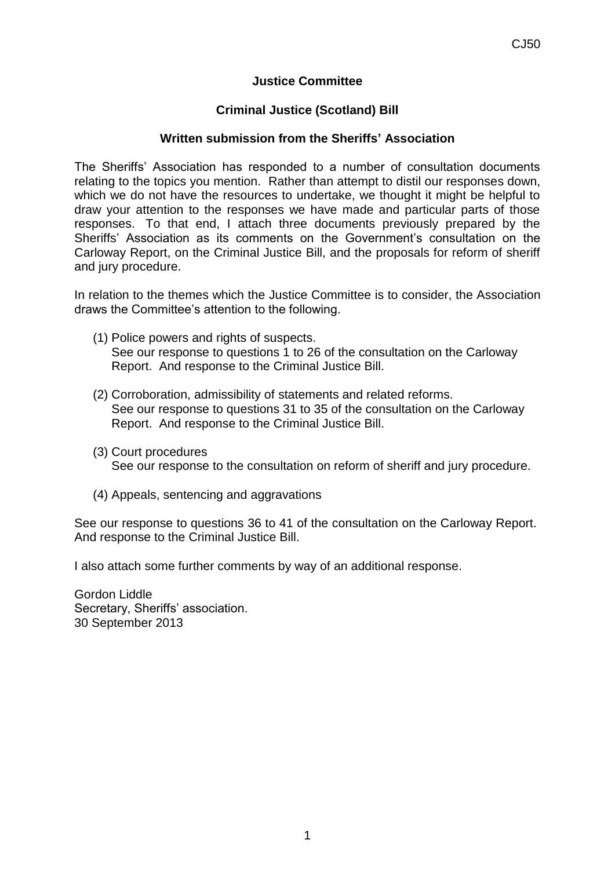## **Justice Committee**

## **Criminal Justice (Scotland) Bill**

## **Written submission from the Sheriffs' Association**

The Sheriffs' Association has responded to a number of consultation documents relating to the topics you mention. Rather than attempt to distil our responses down, which we do not have the resources to undertake, we thought it might be helpful to draw your attention to the responses we have made and particular parts of those responses. To that end, I attach three documents previously prepared by the Sheriffs' Association as its comments on the Government's consultation on the Carloway Report, on the Criminal Justice Bill, and the proposals for reform of sheriff and jury procedure.

In relation to the themes which the Justice Committee is to consider, the Association draws the Committee's attention to the following.

- (1) Police powers and rights of suspects. See our response to questions 1 to 26 of the consultation on the Carloway Report. And response to the Criminal Justice Bill.
- (2) Corroboration, admissibility of statements and related reforms. See our response to questions 31 to 35 of the consultation on the Carloway Report. And response to the Criminal Justice Bill.
- (3) Court procedures See our response to the consultation on reform of sheriff and jury procedure.
- (4) Appeals, sentencing and aggravations

See our response to questions 36 to 41 of the consultation on the Carloway Report. And response to the Criminal Justice Bill.

I also attach some further comments by way of an additional response.

Gordon Liddle Secretary, Sheriffs' association. 30 September 2013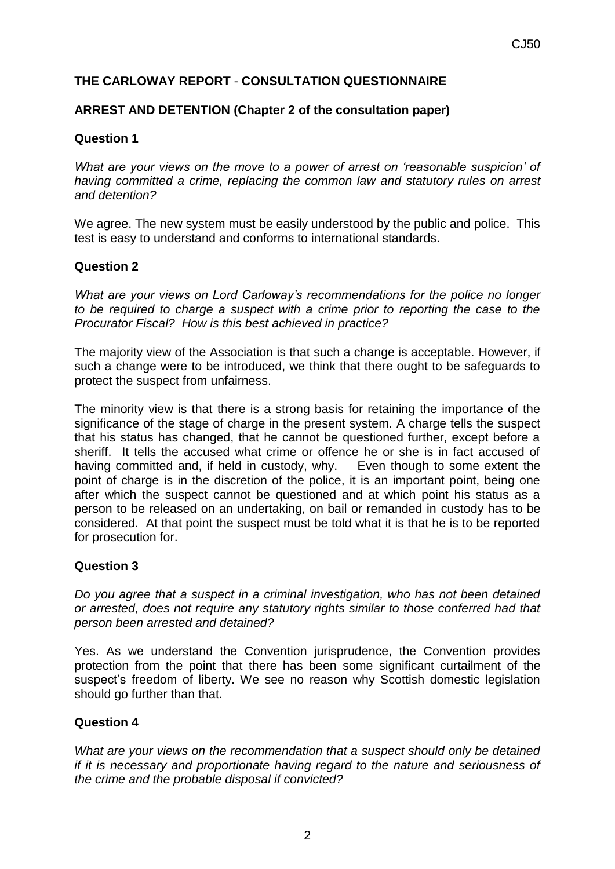# **THE CARLOWAY REPORT** - **CONSULTATION QUESTIONNAIRE**

## **ARREST AND DETENTION (Chapter 2 of the consultation paper)**

## **Question 1**

*What are your views on the move to a power of arrest on 'reasonable suspicion' of having committed a crime, replacing the common law and statutory rules on arrest and detention?*

We agree. The new system must be easily understood by the public and police. This test is easy to understand and conforms to international standards.

#### **Question 2**

*What are your views on Lord Carloway's recommendations for the police no longer to be required to charge a suspect with a crime prior to reporting the case to the Procurator Fiscal? How is this best achieved in practice?*

The majority view of the Association is that such a change is acceptable. However, if such a change were to be introduced, we think that there ought to be safeguards to protect the suspect from unfairness.

The minority view is that there is a strong basis for retaining the importance of the significance of the stage of charge in the present system. A charge tells the suspect that his status has changed, that he cannot be questioned further, except before a sheriff. It tells the accused what crime or offence he or she is in fact accused of having committed and, if held in custody, why. Even though to some extent the point of charge is in the discretion of the police, it is an important point, being one after which the suspect cannot be questioned and at which point his status as a person to be released on an undertaking, on bail or remanded in custody has to be considered. At that point the suspect must be told what it is that he is to be reported for prosecution for.

#### **Question 3**

*Do you agree that a suspect in a criminal investigation, who has not been detained or arrested, does not require any statutory rights similar to those conferred had that person been arrested and detained?*

Yes. As we understand the Convention jurisprudence, the Convention provides protection from the point that there has been some significant curtailment of the suspect's freedom of liberty. We see no reason why Scottish domestic legislation should go further than that.

#### **Question 4**

*What are your views on the recommendation that a suspect should only be detained if it is necessary and proportionate having regard to the nature and seriousness of the crime and the probable disposal if convicted?*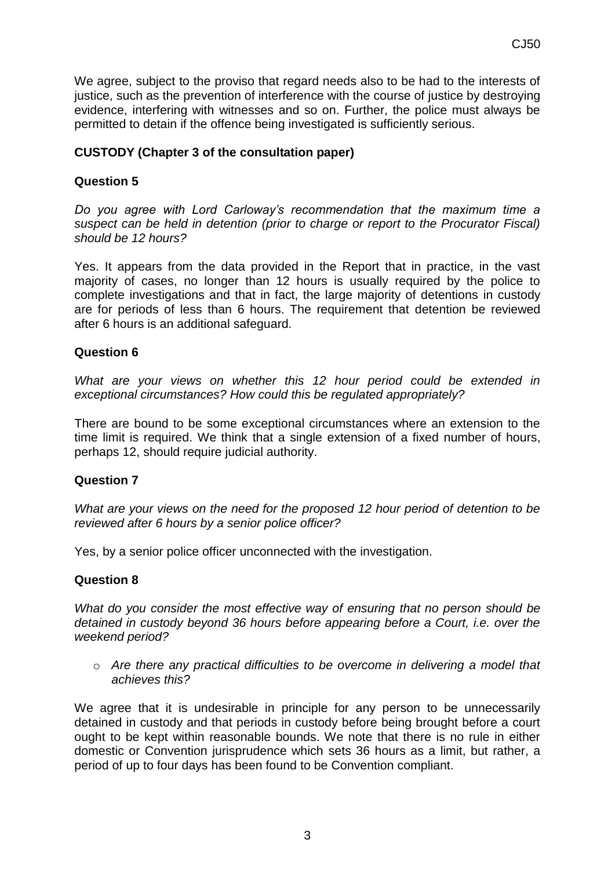We agree, subject to the proviso that regard needs also to be had to the interests of justice, such as the prevention of interference with the course of justice by destroying evidence, interfering with witnesses and so on. Further, the police must always be permitted to detain if the offence being investigated is sufficiently serious.

## **CUSTODY (Chapter 3 of the consultation paper)**

## **Question 5**

*Do you agree with Lord Carloway's recommendation that the maximum time a suspect can be held in detention (prior to charge or report to the Procurator Fiscal) should be 12 hours?* 

Yes. It appears from the data provided in the Report that in practice, in the vast majority of cases, no longer than 12 hours is usually required by the police to complete investigations and that in fact, the large majority of detentions in custody are for periods of less than 6 hours. The requirement that detention be reviewed after 6 hours is an additional safeguard.

#### **Question 6**

*What are your views on whether this 12 hour period could be extended in exceptional circumstances? How could this be regulated appropriately?*

There are bound to be some exceptional circumstances where an extension to the time limit is required. We think that a single extension of a fixed number of hours, perhaps 12, should require judicial authority.

#### **Question 7**

*What are your views on the need for the proposed 12 hour period of detention to be reviewed after 6 hours by a senior police officer?*

Yes, by a senior police officer unconnected with the investigation.

#### **Question 8**

*What do you consider the most effective way of ensuring that no person should be detained in custody beyond 36 hours before appearing before a Court, i.e. over the weekend period?* 

o *Are there any practical difficulties to be overcome in delivering a model that achieves this?*

We agree that it is undesirable in principle for any person to be unnecessarily detained in custody and that periods in custody before being brought before a court ought to be kept within reasonable bounds. We note that there is no rule in either domestic or Convention jurisprudence which sets 36 hours as a limit, but rather, a period of up to four days has been found to be Convention compliant.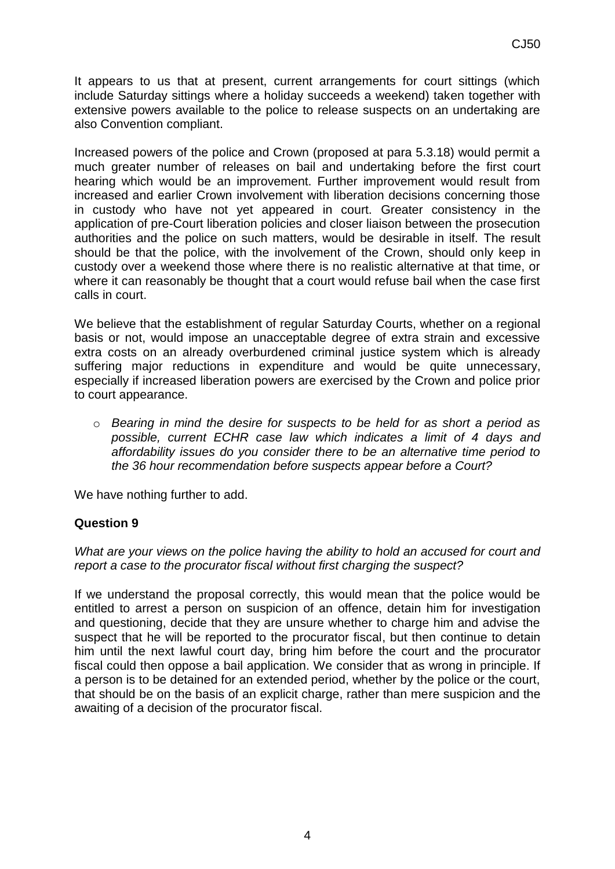It appears to us that at present, current arrangements for court sittings (which include Saturday sittings where a holiday succeeds a weekend) taken together with extensive powers available to the police to release suspects on an undertaking are also Convention compliant.

Increased powers of the police and Crown (proposed at para 5.3.18) would permit a much greater number of releases on bail and undertaking before the first court hearing which would be an improvement. Further improvement would result from increased and earlier Crown involvement with liberation decisions concerning those in custody who have not yet appeared in court. Greater consistency in the application of pre-Court liberation policies and closer liaison between the prosecution authorities and the police on such matters, would be desirable in itself. The result should be that the police, with the involvement of the Crown, should only keep in custody over a weekend those where there is no realistic alternative at that time, or where it can reasonably be thought that a court would refuse bail when the case first calls in court.

We believe that the establishment of regular Saturday Courts, whether on a regional basis or not, would impose an unacceptable degree of extra strain and excessive extra costs on an already overburdened criminal justice system which is already suffering major reductions in expenditure and would be quite unnecessary, especially if increased liberation powers are exercised by the Crown and police prior to court appearance.

o *Bearing in mind the desire for suspects to be held for as short a period as possible, current ECHR case law which indicates a limit of 4 days and affordability issues do you consider there to be an alternative time period to the 36 hour recommendation before suspects appear before a Court?*

We have nothing further to add.

# **Question 9**

*What are your views on the police having the ability to hold an accused for court and report a case to the procurator fiscal without first charging the suspect?* 

If we understand the proposal correctly, this would mean that the police would be entitled to arrest a person on suspicion of an offence, detain him for investigation and questioning, decide that they are unsure whether to charge him and advise the suspect that he will be reported to the procurator fiscal, but then continue to detain him until the next lawful court day, bring him before the court and the procurator fiscal could then oppose a bail application. We consider that as wrong in principle. If a person is to be detained for an extended period, whether by the police or the court, that should be on the basis of an explicit charge, rather than mere suspicion and the awaiting of a decision of the procurator fiscal.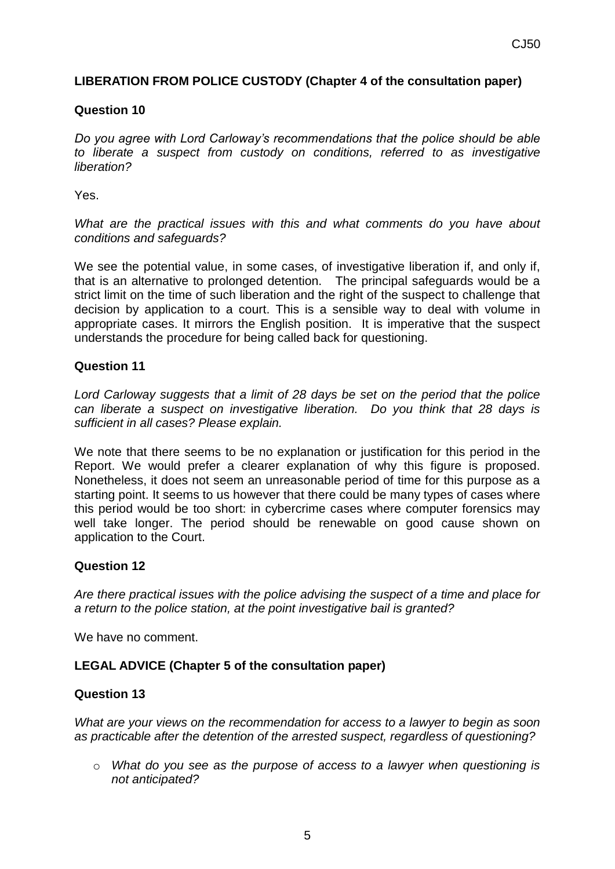# **LIBERATION FROM POLICE CUSTODY (Chapter 4 of the consultation paper)**

## **Question 10**

*Do you agree with Lord Carloway's recommendations that the police should be able to liberate a suspect from custody on conditions, referred to as investigative liberation?* 

Yes.

*What are the practical issues with this and what comments do you have about conditions and safeguards?*

We see the potential value, in some cases, of investigative liberation if, and only if, that is an alternative to prolonged detention. The principal safeguards would be a strict limit on the time of such liberation and the right of the suspect to challenge that decision by application to a court. This is a sensible way to deal with volume in appropriate cases. It mirrors the English position. It is imperative that the suspect understands the procedure for being called back for questioning.

## **Question 11**

*Lord Carloway suggests that a limit of 28 days be set on the period that the police can liberate a suspect on investigative liberation. Do you think that 28 days is sufficient in all cases? Please explain.*

We note that there seems to be no explanation or justification for this period in the Report. We would prefer a clearer explanation of why this figure is proposed. Nonetheless, it does not seem an unreasonable period of time for this purpose as a starting point. It seems to us however that there could be many types of cases where this period would be too short: in cybercrime cases where computer forensics may well take longer. The period should be renewable on good cause shown on application to the Court.

#### **Question 12**

*Are there practical issues with the police advising the suspect of a time and place for a return to the police station, at the point investigative bail is granted?* 

We have no comment.

# **LEGAL ADVICE (Chapter 5 of the consultation paper)**

#### **Question 13**

*What are your views on the recommendation for access to a lawyer to begin as soon as practicable after the detention of the arrested suspect, regardless of questioning?* 

o *What do you see as the purpose of access to a lawyer when questioning is not anticipated?*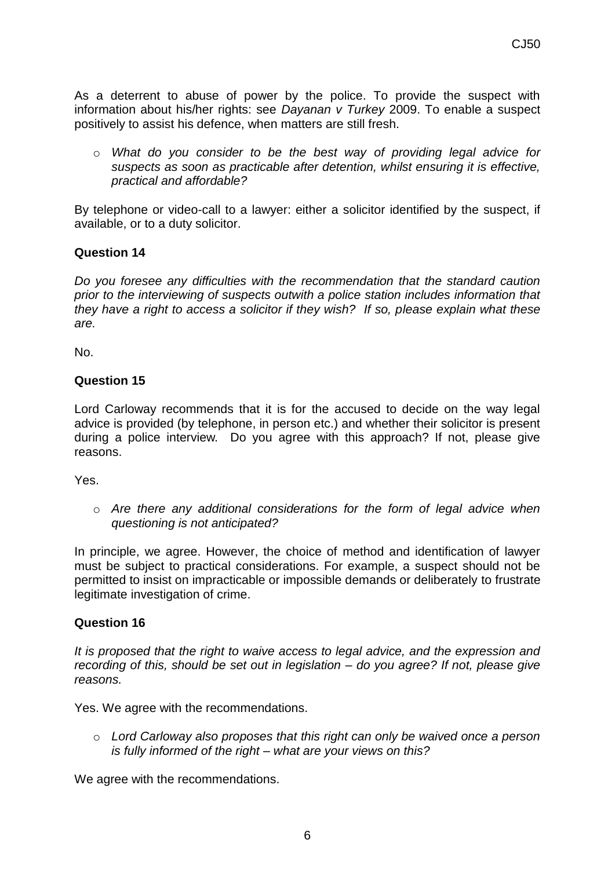As a deterrent to abuse of power by the police. To provide the suspect with information about his/her rights: see *Dayanan v Turkey* 2009. To enable a suspect positively to assist his defence, when matters are still fresh.

o *What do you consider to be the best way of providing legal advice for suspects as soon as practicable after detention, whilst ensuring it is effective, practical and affordable?*

By telephone or video-call to a lawyer: either a solicitor identified by the suspect, if available, or to a duty solicitor.

## **Question 14**

*Do you foresee any difficulties with the recommendation that the standard caution prior to the interviewing of suspects outwith a police station includes information that they have a right to access a solicitor if they wish? If so, please explain what these are.*

No.

#### **Question 15**

Lord Carloway recommends that it is for the accused to decide on the way legal advice is provided (by telephone, in person etc.) and whether their solicitor is present during a police interview. Do you agree with this approach? If not, please give reasons.

Yes.

o *Are there any additional considerations for the form of legal advice when questioning is not anticipated?*

In principle, we agree. However, the choice of method and identification of lawyer must be subject to practical considerations. For example, a suspect should not be permitted to insist on impracticable or impossible demands or deliberately to frustrate legitimate investigation of crime.

#### **Question 16**

*It is proposed that the right to waive access to legal advice, and the expression and recording of this, should be set out in legislation – do you agree? If not, please give reasons.*

Yes. We agree with the recommendations.

o *Lord Carloway also proposes that this right can only be waived once a person is fully informed of the right – what are your views on this?*

We agree with the recommendations.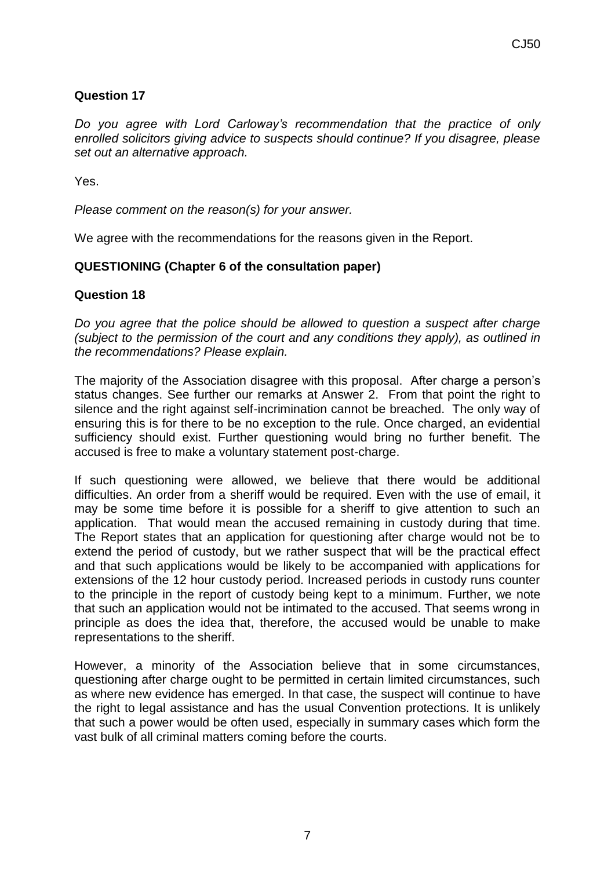## **Question 17**

*Do you agree with Lord Carloway's recommendation that the practice of only enrolled solicitors giving advice to suspects should continue? If you disagree, please set out an alternative approach.*

Yes.

*Please comment on the reason(s) for your answer.*

We agree with the recommendations for the reasons given in the Report.

# **QUESTIONING (Chapter 6 of the consultation paper)**

## **Question 18**

*Do you agree that the police should be allowed to question a suspect after charge (subject to the permission of the court and any conditions they apply), as outlined in the recommendations? Please explain.* 

The majority of the Association disagree with this proposal. After charge a person's status changes. See further our remarks at Answer 2. From that point the right to silence and the right against self-incrimination cannot be breached. The only way of ensuring this is for there to be no exception to the rule. Once charged, an evidential sufficiency should exist. Further questioning would bring no further benefit. The accused is free to make a voluntary statement post-charge.

If such questioning were allowed, we believe that there would be additional difficulties. An order from a sheriff would be required. Even with the use of email, it may be some time before it is possible for a sheriff to give attention to such an application. That would mean the accused remaining in custody during that time. The Report states that an application for questioning after charge would not be to extend the period of custody, but we rather suspect that will be the practical effect and that such applications would be likely to be accompanied with applications for extensions of the 12 hour custody period. Increased periods in custody runs counter to the principle in the report of custody being kept to a minimum. Further, we note that such an application would not be intimated to the accused. That seems wrong in principle as does the idea that, therefore, the accused would be unable to make representations to the sheriff.

However, a minority of the Association believe that in some circumstances, questioning after charge ought to be permitted in certain limited circumstances, such as where new evidence has emerged. In that case, the suspect will continue to have the right to legal assistance and has the usual Convention protections. It is unlikely that such a power would be often used, especially in summary cases which form the vast bulk of all criminal matters coming before the courts.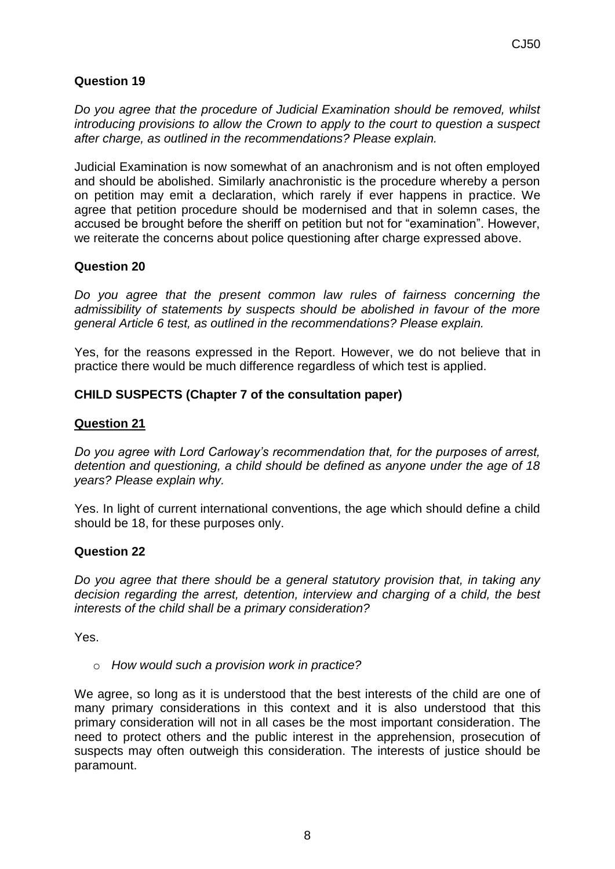# **Question 19**

*Do you agree that the procedure of Judicial Examination should be removed, whilst introducing provisions to allow the Crown to apply to the court to question a suspect after charge, as outlined in the recommendations? Please explain.*

Judicial Examination is now somewhat of an anachronism and is not often employed and should be abolished. Similarly anachronistic is the procedure whereby a person on petition may emit a declaration, which rarely if ever happens in practice. We agree that petition procedure should be modernised and that in solemn cases, the accused be brought before the sheriff on petition but not for "examination". However, we reiterate the concerns about police questioning after charge expressed above.

# **Question 20**

*Do you agree that the present common law rules of fairness concerning the admissibility of statements by suspects should be abolished in favour of the more general Article 6 test, as outlined in the recommendations? Please explain.*

Yes, for the reasons expressed in the Report. However, we do not believe that in practice there would be much difference regardless of which test is applied.

# **CHILD SUSPECTS (Chapter 7 of the consultation paper)**

#### **Question 21**

*Do you agree with Lord Carloway's recommendation that, for the purposes of arrest, detention and questioning, a child should be defined as anyone under the age of 18 years? Please explain why.*

Yes. In light of current international conventions, the age which should define a child should be 18, for these purposes only.

#### **Question 22**

*Do you agree that there should be a general statutory provision that, in taking any decision regarding the arrest, detention, interview and charging of a child, the best interests of the child shall be a primary consideration?* 

Yes.

o *How would such a provision work in practice?*

We agree, so long as it is understood that the best interests of the child are one of many primary considerations in this context and it is also understood that this primary consideration will not in all cases be the most important consideration. The need to protect others and the public interest in the apprehension, prosecution of suspects may often outweigh this consideration. The interests of justice should be paramount.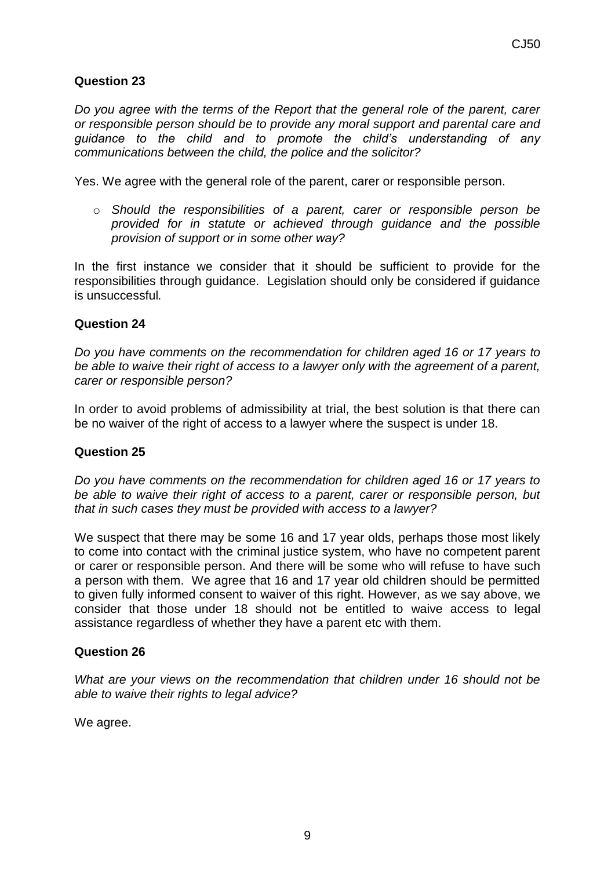# **Question 23**

*Do you agree with the terms of the Report that the general role of the parent, carer or responsible person should be to provide any moral support and parental care and guidance to the child and to promote the child's understanding of any communications between the child, the police and the solicitor?* 

Yes. We agree with the general role of the parent, carer or responsible person.

o *Should the responsibilities of a parent, carer or responsible person be provided for in statute or achieved through guidance and the possible provision of support or in some other way?* 

In the first instance we consider that it should be sufficient to provide for the responsibilities through guidance. Legislation should only be considered if guidance is unsuccessful.

#### **Question 24**

*Do you have comments on the recommendation for children aged 16 or 17 years to be able to waive their right of access to a lawyer only with the agreement of a parent, carer or responsible person?*

In order to avoid problems of admissibility at trial, the best solution is that there can be no waiver of the right of access to a lawyer where the suspect is under 18.

#### **Question 25**

*Do you have comments on the recommendation for children aged 16 or 17 years to be able to waive their right of access to a parent, carer or responsible person, but that in such cases they must be provided with access to a lawyer?* 

We suspect that there may be some 16 and 17 year olds, perhaps those most likely to come into contact with the criminal justice system, who have no competent parent or carer or responsible person. And there will be some who will refuse to have such a person with them. We agree that 16 and 17 year old children should be permitted to given fully informed consent to waiver of this right. However, as we say above, we consider that those under 18 should not be entitled to waive access to legal assistance regardless of whether they have a parent etc with them.

#### **Question 26**

*What are your views on the recommendation that children under 16 should not be able to waive their rights to legal advice?* 

We agree.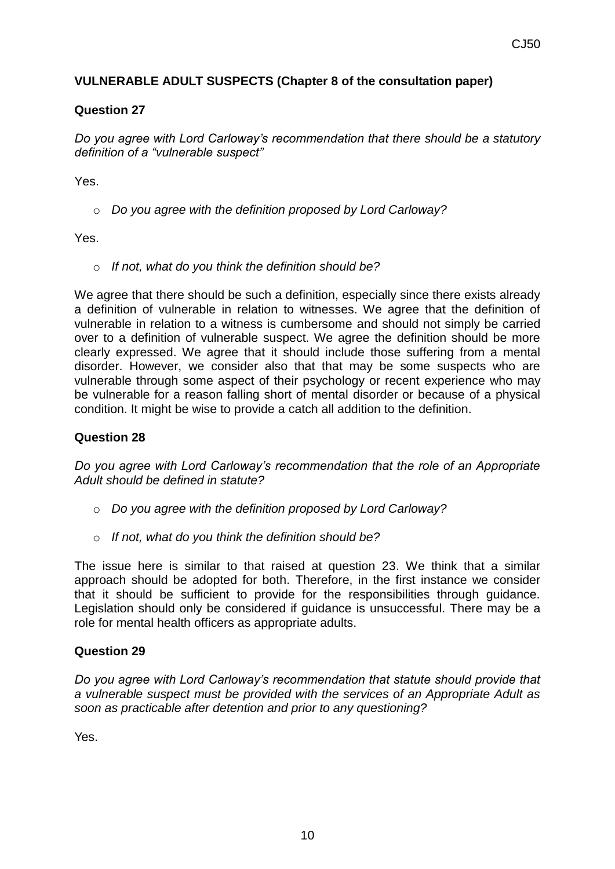# **VULNERABLE ADULT SUSPECTS (Chapter 8 of the consultation paper)**

## **Question 27**

*Do you agree with Lord Carloway's recommendation that there should be a statutory definition of a "vulnerable suspect"* 

Yes.

o *Do you agree with the definition proposed by Lord Carloway?*

Yes.

o *If not, what do you think the definition should be?*

We agree that there should be such a definition, especially since there exists already a definition of vulnerable in relation to witnesses. We agree that the definition of vulnerable in relation to a witness is cumbersome and should not simply be carried over to a definition of vulnerable suspect. We agree the definition should be more clearly expressed. We agree that it should include those suffering from a mental disorder. However, we consider also that that may be some suspects who are vulnerable through some aspect of their psychology or recent experience who may be vulnerable for a reason falling short of mental disorder or because of a physical condition. It might be wise to provide a catch all addition to the definition.

## **Question 28**

*Do you agree with Lord Carloway's recommendation that the role of an Appropriate Adult should be defined in statute?*

- o *Do you agree with the definition proposed by Lord Carloway?*
- o *If not, what do you think the definition should be?*

The issue here is similar to that raised at question 23. We think that a similar approach should be adopted for both. Therefore, in the first instance we consider that it should be sufficient to provide for the responsibilities through guidance. Legislation should only be considered if guidance is unsuccessful. There may be a role for mental health officers as appropriate adults.

#### **Question 29**

*Do you agree with Lord Carloway's recommendation that statute should provide that a vulnerable suspect must be provided with the services of an Appropriate Adult as soon as practicable after detention and prior to any questioning?*

Yes.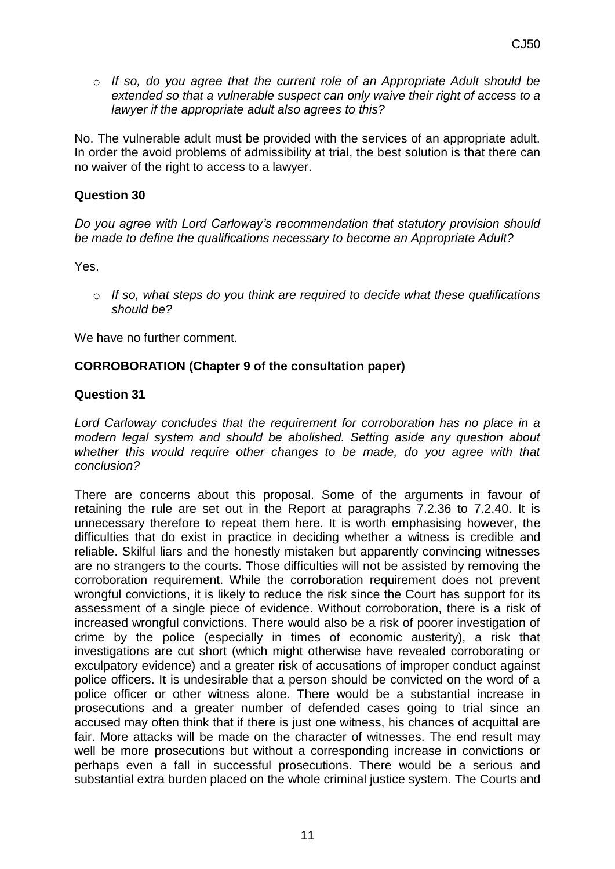o *If so, do you agree that the current role of an Appropriate Adult should be extended so that a vulnerable suspect can only waive their right of access to a lawyer if the appropriate adult also agrees to this?*

No. The vulnerable adult must be provided with the services of an appropriate adult. In order the avoid problems of admissibility at trial, the best solution is that there can no waiver of the right to access to a lawyer.

#### **Question 30**

*Do you agree with Lord Carloway's recommendation that statutory provision should be made to define the qualifications necessary to become an Appropriate Adult?*

Yes.

o *If so, what steps do you think are required to decide what these qualifications should be?*

We have no further comment.

#### **CORROBORATION (Chapter 9 of the consultation paper)**

#### **Question 31**

*Lord Carloway concludes that the requirement for corroboration has no place in a modern legal system and should be abolished. Setting aside any question about whether this would require other changes to be made, do you agree with that conclusion?*

There are concerns about this proposal. Some of the arguments in favour of retaining the rule are set out in the Report at paragraphs 7.2.36 to 7.2.40. It is unnecessary therefore to repeat them here. It is worth emphasising however, the difficulties that do exist in practice in deciding whether a witness is credible and reliable. Skilful liars and the honestly mistaken but apparently convincing witnesses are no strangers to the courts. Those difficulties will not be assisted by removing the corroboration requirement. While the corroboration requirement does not prevent wrongful convictions, it is likely to reduce the risk since the Court has support for its assessment of a single piece of evidence. Without corroboration, there is a risk of increased wrongful convictions. There would also be a risk of poorer investigation of crime by the police (especially in times of economic austerity), a risk that investigations are cut short (which might otherwise have revealed corroborating or exculpatory evidence) and a greater risk of accusations of improper conduct against police officers. It is undesirable that a person should be convicted on the word of a police officer or other witness alone. There would be a substantial increase in prosecutions and a greater number of defended cases going to trial since an accused may often think that if there is just one witness, his chances of acquittal are fair. More attacks will be made on the character of witnesses. The end result may well be more prosecutions but without a corresponding increase in convictions or perhaps even a fall in successful prosecutions. There would be a serious and substantial extra burden placed on the whole criminal justice system. The Courts and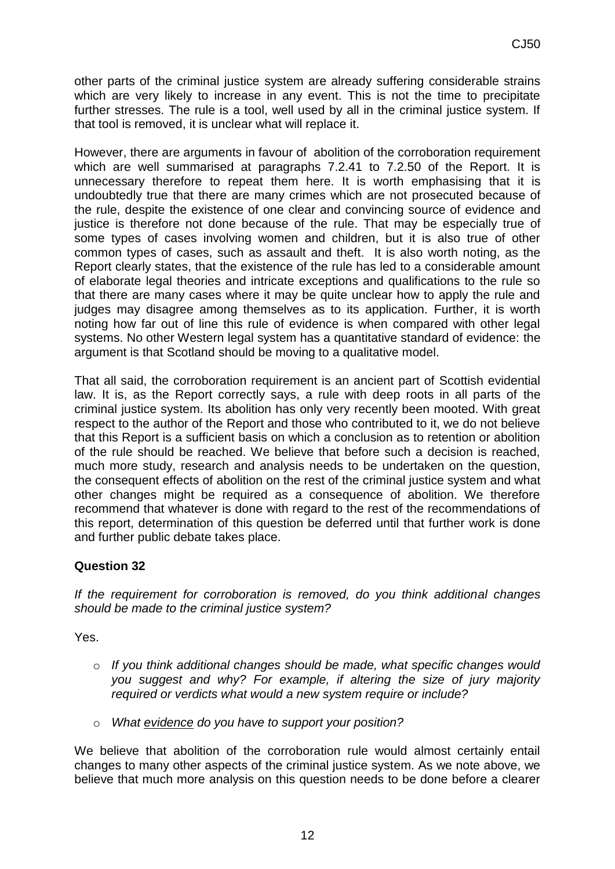other parts of the criminal justice system are already suffering considerable strains which are very likely to increase in any event. This is not the time to precipitate further stresses. The rule is a tool, well used by all in the criminal justice system. If that tool is removed, it is unclear what will replace it.

However, there are arguments in favour of abolition of the corroboration requirement which are well summarised at paragraphs 7.2.41 to 7.2.50 of the Report. It is unnecessary therefore to repeat them here. It is worth emphasising that it is undoubtedly true that there are many crimes which are not prosecuted because of the rule, despite the existence of one clear and convincing source of evidence and justice is therefore not done because of the rule. That may be especially true of some types of cases involving women and children, but it is also true of other common types of cases, such as assault and theft. It is also worth noting, as the Report clearly states, that the existence of the rule has led to a considerable amount of elaborate legal theories and intricate exceptions and qualifications to the rule so that there are many cases where it may be quite unclear how to apply the rule and judges may disagree among themselves as to its application. Further, it is worth noting how far out of line this rule of evidence is when compared with other legal systems. No other Western legal system has a quantitative standard of evidence: the argument is that Scotland should be moving to a qualitative model.

That all said, the corroboration requirement is an ancient part of Scottish evidential law. It is, as the Report correctly says, a rule with deep roots in all parts of the criminal justice system. Its abolition has only very recently been mooted. With great respect to the author of the Report and those who contributed to it, we do not believe that this Report is a sufficient basis on which a conclusion as to retention or abolition of the rule should be reached. We believe that before such a decision is reached, much more study, research and analysis needs to be undertaken on the question, the consequent effects of abolition on the rest of the criminal justice system and what other changes might be required as a consequence of abolition. We therefore recommend that whatever is done with regard to the rest of the recommendations of this report, determination of this question be deferred until that further work is done and further public debate takes place.

# **Question 32**

*If the requirement for corroboration is removed, do you think additional changes should be made to the criminal justice system?*

Yes.

- o *If you think additional changes should be made, what specific changes would you suggest and why? For example, if altering the size of jury majority required or verdicts what would a new system require or include?*
- o *What evidence do you have to support your position?*

We believe that abolition of the corroboration rule would almost certainly entail changes to many other aspects of the criminal justice system. As we note above, we believe that much more analysis on this question needs to be done before a clearer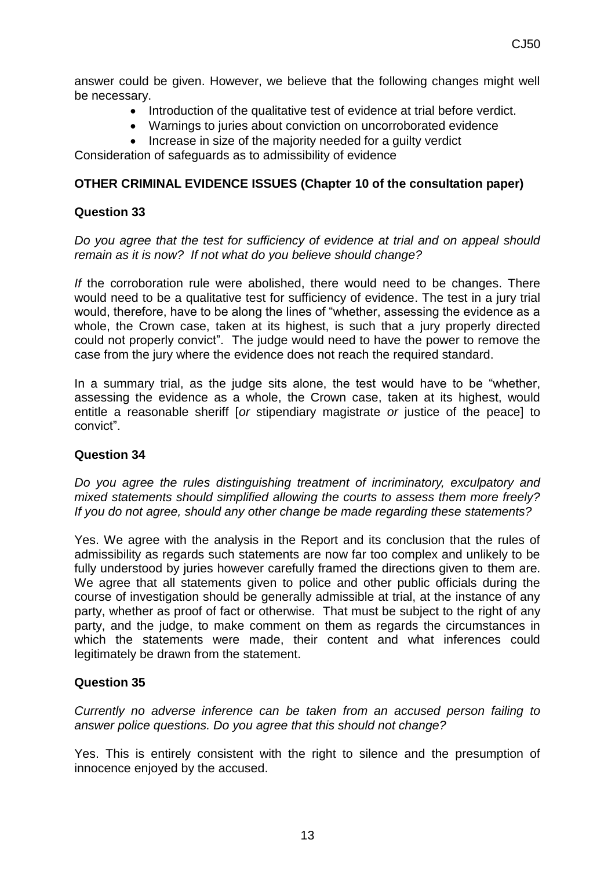answer could be given. However, we believe that the following changes might well be necessary.

- Introduction of the qualitative test of evidence at trial before verdict.
- Warnings to juries about conviction on uncorroborated evidence
- Increase in size of the majority needed for a quilty verdict

Consideration of safeguards as to admissibility of evidence

#### **OTHER CRIMINAL EVIDENCE ISSUES (Chapter 10 of the consultation paper)**

#### **Question 33**

*Do you agree that the test for sufficiency of evidence at trial and on appeal should remain as it is now? If not what do you believe should change?*

*If* the corroboration rule were abolished, there would need to be changes. There would need to be a qualitative test for sufficiency of evidence. The test in a jury trial would, therefore, have to be along the lines of "whether, assessing the evidence as a whole, the Crown case, taken at its highest, is such that a jury properly directed could not properly convict". The judge would need to have the power to remove the case from the jury where the evidence does not reach the required standard.

In a summary trial, as the judge sits alone, the test would have to be "whether, assessing the evidence as a whole, the Crown case, taken at its highest, would entitle a reasonable sheriff [*or* stipendiary magistrate *or* justice of the peace] to convict".

#### **Question 34**

*Do you agree the rules distinguishing treatment of incriminatory, exculpatory and mixed statements should simplified allowing the courts to assess them more freely? If you do not agree, should any other change be made regarding these statements?*

Yes. We agree with the analysis in the Report and its conclusion that the rules of admissibility as regards such statements are now far too complex and unlikely to be fully understood by juries however carefully framed the directions given to them are. We agree that all statements given to police and other public officials during the course of investigation should be generally admissible at trial, at the instance of any party, whether as proof of fact or otherwise. That must be subject to the right of any party, and the judge, to make comment on them as regards the circumstances in which the statements were made, their content and what inferences could legitimately be drawn from the statement.

#### **Question 35**

*Currently no adverse inference can be taken from an accused person failing to answer police questions. Do you agree that this should not change?*

Yes. This is entirely consistent with the right to silence and the presumption of innocence enjoyed by the accused.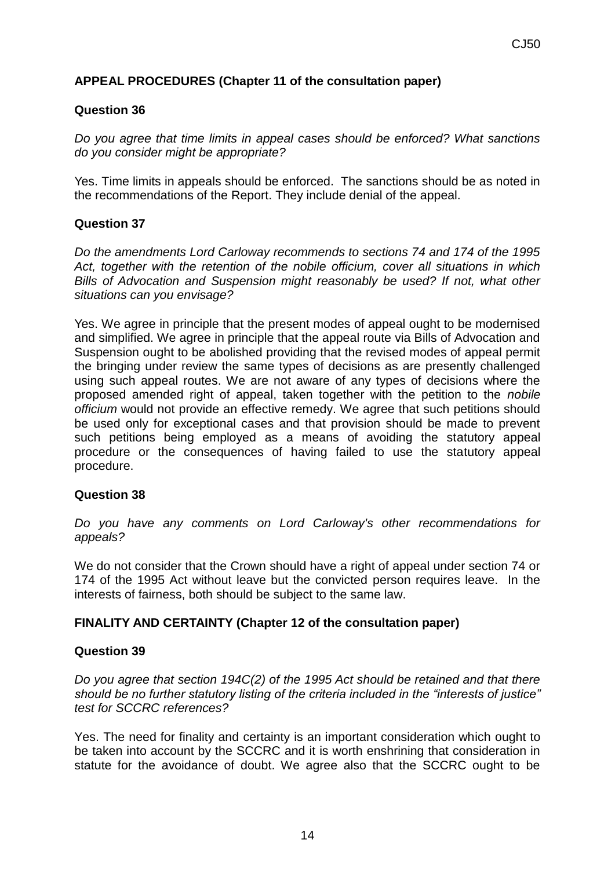# **APPEAL PROCEDURES (Chapter 11 of the consultation paper)**

## **Question 36**

*Do you agree that time limits in appeal cases should be enforced? What sanctions do you consider might be appropriate?*

Yes. Time limits in appeals should be enforced. The sanctions should be as noted in the recommendations of the Report. They include denial of the appeal.

# **Question 37**

*Do the amendments Lord Carloway recommends to sections 74 and 174 of the 1995 Act, together with the retention of the nobile officium, cover all situations in which Bills of Advocation and Suspension might reasonably be used? If not, what other situations can you envisage?*

Yes. We agree in principle that the present modes of appeal ought to be modernised and simplified. We agree in principle that the appeal route via Bills of Advocation and Suspension ought to be abolished providing that the revised modes of appeal permit the bringing under review the same types of decisions as are presently challenged using such appeal routes. We are not aware of any types of decisions where the proposed amended right of appeal, taken together with the petition to the *nobile officium* would not provide an effective remedy. We agree that such petitions should be used only for exceptional cases and that provision should be made to prevent such petitions being employed as a means of avoiding the statutory appeal procedure or the consequences of having failed to use the statutory appeal procedure.

#### **Question 38**

*Do you have any comments on Lord Carloway's other recommendations for appeals?*

We do not consider that the Crown should have a right of appeal under section 74 or 174 of the 1995 Act without leave but the convicted person requires leave. In the interests of fairness, both should be subject to the same law.

# **FINALITY AND CERTAINTY (Chapter 12 of the consultation paper)**

#### **Question 39**

*Do you agree that section 194C(2) of the 1995 Act should be retained and that there should be no further statutory listing of the criteria included in the "interests of justice" test for SCCRC references?*

Yes. The need for finality and certainty is an important consideration which ought to be taken into account by the SCCRC and it is worth enshrining that consideration in statute for the avoidance of doubt. We agree also that the SCCRC ought to be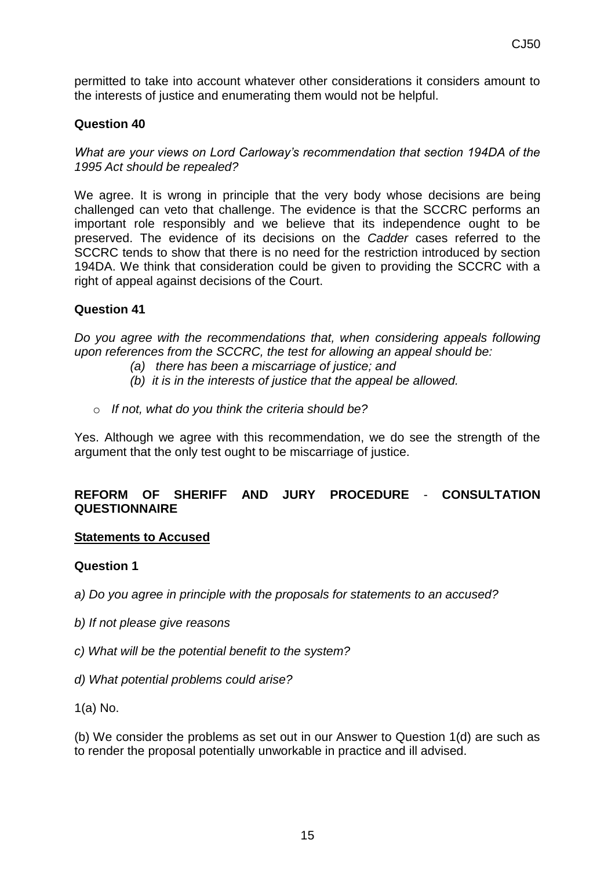permitted to take into account whatever other considerations it considers amount to the interests of justice and enumerating them would not be helpful.

#### **Question 40**

*What are your views on Lord Carloway's recommendation that section 194DA of the 1995 Act should be repealed?* 

We agree. It is wrong in principle that the very body whose decisions are being challenged can veto that challenge. The evidence is that the SCCRC performs an important role responsibly and we believe that its independence ought to be preserved. The evidence of its decisions on the *Cadder* cases referred to the SCCRC tends to show that there is no need for the restriction introduced by section 194DA. We think that consideration could be given to providing the SCCRC with a right of appeal against decisions of the Court.

#### **Question 41**

*Do you agree with the recommendations that, when considering appeals following upon references from the SCCRC, the test for allowing an appeal should be:* 

- *(a) there has been a miscarriage of justice; and*
- *(b) it is in the interests of justice that the appeal be allowed.*
- o *If not, what do you think the criteria should be?*

Yes. Although we agree with this recommendation, we do see the strength of the argument that the only test ought to be miscarriage of justice.

## **REFORM OF SHERIFF AND JURY PROCEDURE** - **CONSULTATION QUESTIONNAIRE**

#### **Statements to Accused**

#### **Question 1**

*a) Do you agree in principle with the proposals for statements to an accused?*

- *b) If not please give reasons*
- *c) What will be the potential benefit to the system?*
- *d) What potential problems could arise?*

1(a) No.

(b) We consider the problems as set out in our Answer to Question 1(d) are such as to render the proposal potentially unworkable in practice and ill advised.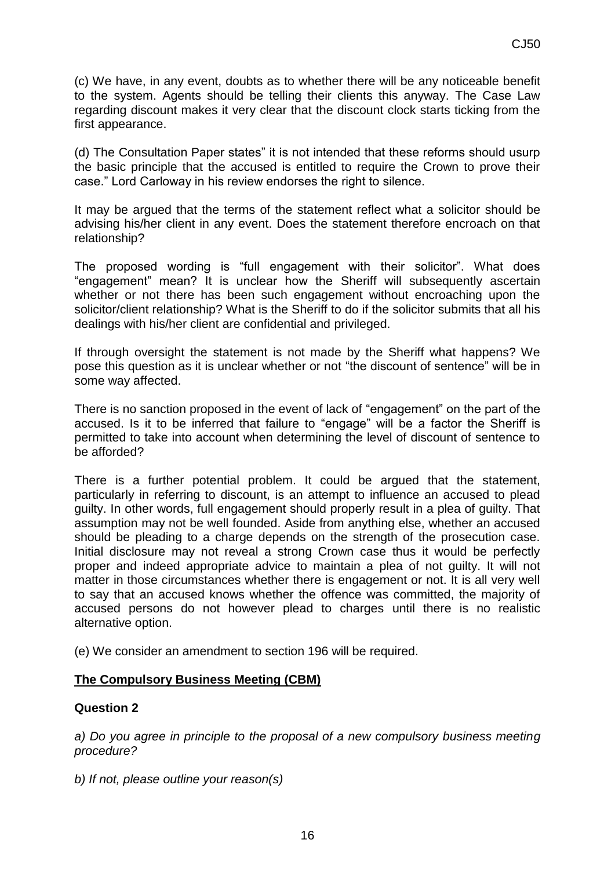(c) We have, in any event, doubts as to whether there will be any noticeable benefit to the system. Agents should be telling their clients this anyway. The Case Law regarding discount makes it very clear that the discount clock starts ticking from the first appearance.

(d) The Consultation Paper states" it is not intended that these reforms should usurp the basic principle that the accused is entitled to require the Crown to prove their case." Lord Carloway in his review endorses the right to silence.

It may be argued that the terms of the statement reflect what a solicitor should be advising his/her client in any event. Does the statement therefore encroach on that relationship?

The proposed wording is "full engagement with their solicitor". What does "engagement" mean? It is unclear how the Sheriff will subsequently ascertain whether or not there has been such engagement without encroaching upon the solicitor/client relationship? What is the Sheriff to do if the solicitor submits that all his dealings with his/her client are confidential and privileged.

If through oversight the statement is not made by the Sheriff what happens? We pose this question as it is unclear whether or not "the discount of sentence" will be in some way affected.

There is no sanction proposed in the event of lack of "engagement" on the part of the accused. Is it to be inferred that failure to "engage" will be a factor the Sheriff is permitted to take into account when determining the level of discount of sentence to be afforded?

There is a further potential problem. It could be argued that the statement, particularly in referring to discount, is an attempt to influence an accused to plead guilty. In other words, full engagement should properly result in a plea of guilty. That assumption may not be well founded. Aside from anything else, whether an accused should be pleading to a charge depends on the strength of the prosecution case. Initial disclosure may not reveal a strong Crown case thus it would be perfectly proper and indeed appropriate advice to maintain a plea of not guilty. It will not matter in those circumstances whether there is engagement or not. It is all very well to say that an accused knows whether the offence was committed, the majority of accused persons do not however plead to charges until there is no realistic alternative option.

(e) We consider an amendment to section 196 will be required.

#### **The Compulsory Business Meeting (CBM)**

#### **Question 2**

*a) Do you agree in principle to the proposal of a new compulsory business meeting procedure?*

*b) If not, please outline your reason(s)*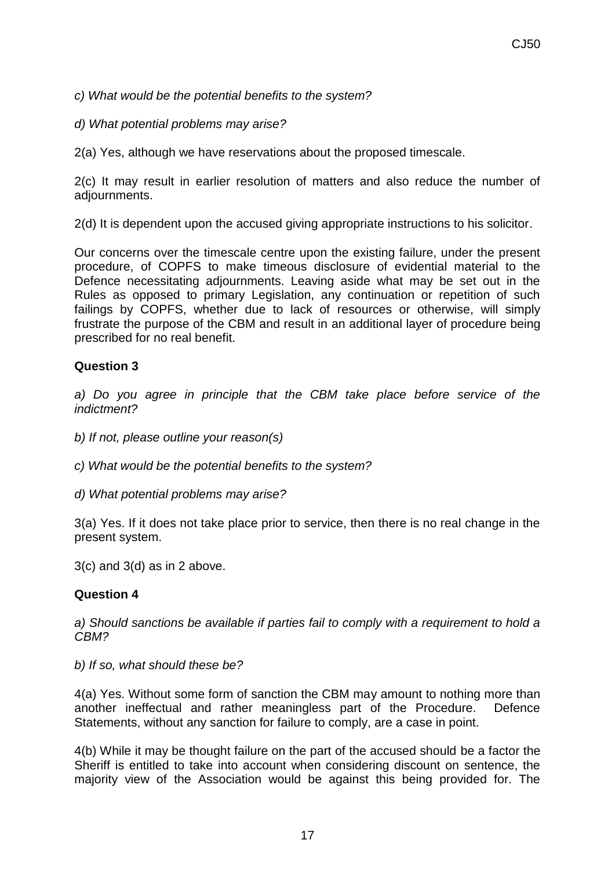*c) What would be the potential benefits to the system?*

*d) What potential problems may arise?*

2(a) Yes, although we have reservations about the proposed timescale.

2(c) It may result in earlier resolution of matters and also reduce the number of adjournments.

2(d) It is dependent upon the accused giving appropriate instructions to his solicitor.

Our concerns over the timescale centre upon the existing failure, under the present procedure, of COPFS to make timeous disclosure of evidential material to the Defence necessitating adjournments. Leaving aside what may be set out in the Rules as opposed to primary Legislation, any continuation or repetition of such failings by COPFS, whether due to lack of resources or otherwise, will simply frustrate the purpose of the CBM and result in an additional layer of procedure being prescribed for no real benefit.

# **Question 3**

*a) Do you agree in principle that the CBM take place before service of the indictment?*

*b) If not, please outline your reason(s)*

*c) What would be the potential benefits to the system?*

*d) What potential problems may arise?*

3(a) Yes. If it does not take place prior to service, then there is no real change in the present system.

3(c) and 3(d) as in 2 above.

#### **Question 4**

*a) Should sanctions be available if parties fail to comply with a requirement to hold a CBM?*

*b) If so, what should these be?*

4(a) Yes. Without some form of sanction the CBM may amount to nothing more than another ineffectual and rather meaningless part of the Procedure. Defence Statements, without any sanction for failure to comply, are a case in point.

4(b) While it may be thought failure on the part of the accused should be a factor the Sheriff is entitled to take into account when considering discount on sentence, the majority view of the Association would be against this being provided for. The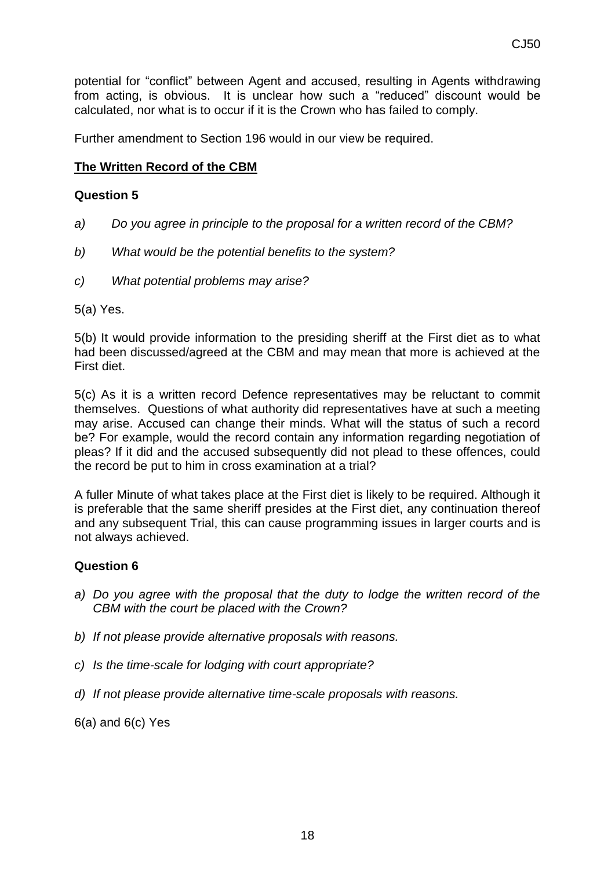potential for "conflict" between Agent and accused, resulting in Agents withdrawing from acting, is obvious. It is unclear how such a "reduced" discount would be calculated, nor what is to occur if it is the Crown who has failed to comply.

Further amendment to Section 196 would in our view be required.

## **The Written Record of the CBM**

#### **Question 5**

- *a) Do you agree in principle to the proposal for a written record of the CBM?*
- *b) What would be the potential benefits to the system?*
- *c) What potential problems may arise?*

5(a) Yes.

5(b) It would provide information to the presiding sheriff at the First diet as to what had been discussed/agreed at the CBM and may mean that more is achieved at the First diet.

5(c) As it is a written record Defence representatives may be reluctant to commit themselves. Questions of what authority did representatives have at such a meeting may arise. Accused can change their minds. What will the status of such a record be? For example, would the record contain any information regarding negotiation of pleas? If it did and the accused subsequently did not plead to these offences, could the record be put to him in cross examination at a trial?

A fuller Minute of what takes place at the First diet is likely to be required. Although it is preferable that the same sheriff presides at the First diet, any continuation thereof and any subsequent Trial, this can cause programming issues in larger courts and is not always achieved.

#### **Question 6**

- *a) Do you agree with the proposal that the duty to lodge the written record of the CBM with the court be placed with the Crown?*
- *b) If not please provide alternative proposals with reasons.*
- *c) Is the time-scale for lodging with court appropriate?*
- *d) If not please provide alternative time-scale proposals with reasons.*
- 6(a) and 6(c) Yes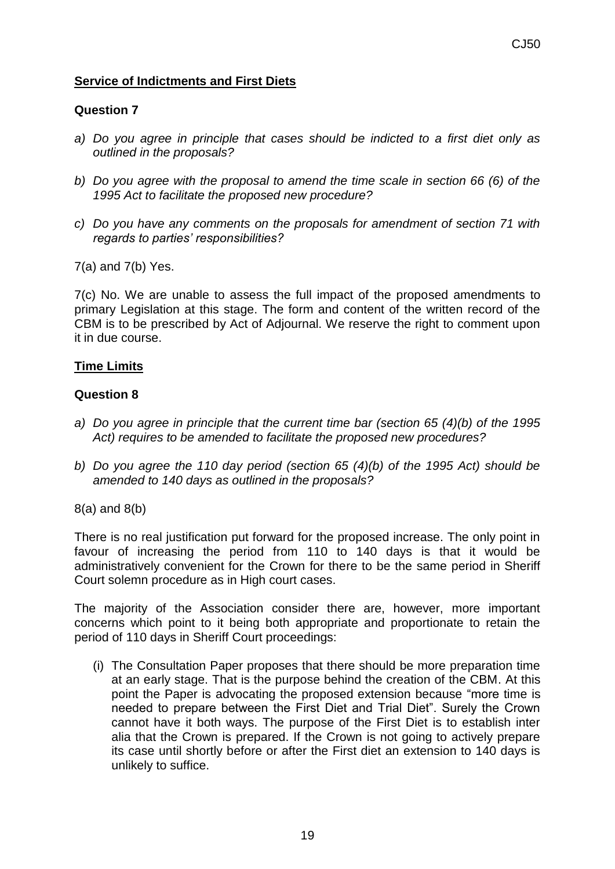# **Service of Indictments and First Diets**

## **Question 7**

- *a) Do you agree in principle that cases should be indicted to a first diet only as outlined in the proposals?*
- *b) Do you agree with the proposal to amend the time scale in section 66 (6) of the 1995 Act to facilitate the proposed new procedure?*
- *c) Do you have any comments on the proposals for amendment of section 71 with regards to parties' responsibilities?*
- 7(a) and 7(b) Yes.

7(c) No. We are unable to assess the full impact of the proposed amendments to primary Legislation at this stage. The form and content of the written record of the CBM is to be prescribed by Act of Adjournal. We reserve the right to comment upon it in due course.

## **Time Limits**

#### **Question 8**

- *a) Do you agree in principle that the current time bar (section 65 (4)(b) of the 1995 Act) requires to be amended to facilitate the proposed new procedures?*
- *b) Do you agree the 110 day period (section 65 (4)(b) of the 1995 Act) should be amended to 140 days as outlined in the proposals?*

8(a) and 8(b)

There is no real justification put forward for the proposed increase. The only point in favour of increasing the period from 110 to 140 days is that it would be administratively convenient for the Crown for there to be the same period in Sheriff Court solemn procedure as in High court cases.

The majority of the Association consider there are, however, more important concerns which point to it being both appropriate and proportionate to retain the period of 110 days in Sheriff Court proceedings:

(i) The Consultation Paper proposes that there should be more preparation time at an early stage. That is the purpose behind the creation of the CBM. At this point the Paper is advocating the proposed extension because "more time is needed to prepare between the First Diet and Trial Diet". Surely the Crown cannot have it both ways. The purpose of the First Diet is to establish inter alia that the Crown is prepared. If the Crown is not going to actively prepare its case until shortly before or after the First diet an extension to 140 days is unlikely to suffice.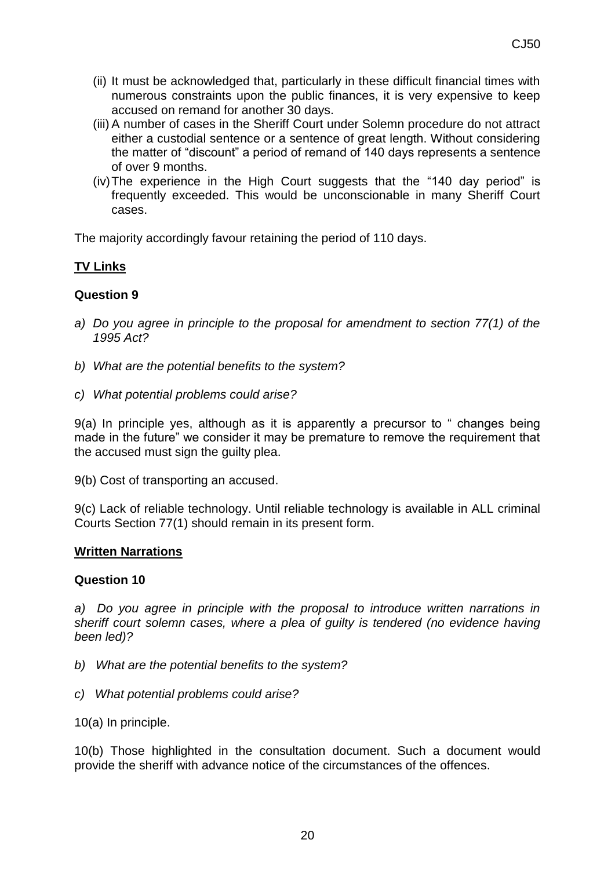- (ii) It must be acknowledged that, particularly in these difficult financial times with numerous constraints upon the public finances, it is very expensive to keep accused on remand for another 30 days.
- (iii) A number of cases in the Sheriff Court under Solemn procedure do not attract either a custodial sentence or a sentence of great length. Without considering the matter of "discount" a period of remand of 140 days represents a sentence of over 9 months.
- (iv)The experience in the High Court suggests that the "140 day period" is frequently exceeded. This would be unconscionable in many Sheriff Court cases.

The majority accordingly favour retaining the period of 110 days.

# **TV Links**

## **Question 9**

- *a) Do you agree in principle to the proposal for amendment to section 77(1) of the 1995 Act?*
- *b) What are the potential benefits to the system?*
- *c) What potential problems could arise?*

9(a) In principle yes, although as it is apparently a precursor to " changes being made in the future" we consider it may be premature to remove the requirement that the accused must sign the guilty plea.

9(b) Cost of transporting an accused.

9(c) Lack of reliable technology. Until reliable technology is available in ALL criminal Courts Section 77(1) should remain in its present form.

#### **Written Narrations**

#### **Question 10**

*a) Do you agree in principle with the proposal to introduce written narrations in sheriff court solemn cases, where a plea of guilty is tendered (no evidence having been led)?*

- *b) What are the potential benefits to the system?*
- *c) What potential problems could arise?*
- 10(a) In principle.

10(b) Those highlighted in the consultation document. Such a document would provide the sheriff with advance notice of the circumstances of the offences.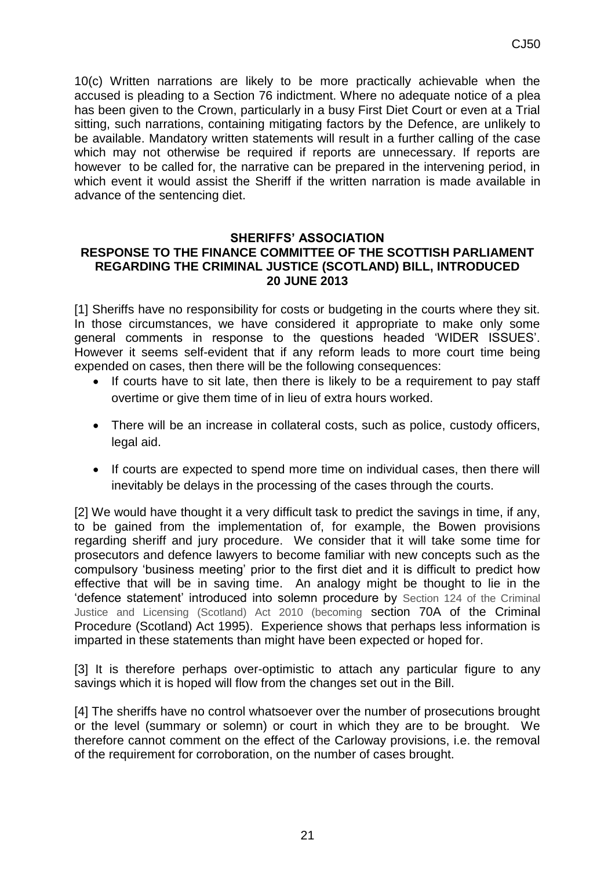10(c) Written narrations are likely to be more practically achievable when the accused is pleading to a Section 76 indictment. Where no adequate notice of a plea has been given to the Crown, particularly in a busy First Diet Court or even at a Trial sitting, such narrations, containing mitigating factors by the Defence, are unlikely to be available. Mandatory written statements will result in a further calling of the case which may not otherwise be required if reports are unnecessary. If reports are however to be called for, the narrative can be prepared in the intervening period, in which event it would assist the Sheriff if the written narration is made available in advance of the sentencing diet.

#### **SHERIFFS' ASSOCIATION RESPONSE TO THE FINANCE COMMITTEE OF THE SCOTTISH PARLIAMENT REGARDING THE CRIMINAL JUSTICE (SCOTLAND) BILL, INTRODUCED 20 JUNE 2013**

[1] Sheriffs have no responsibility for costs or budgeting in the courts where they sit. In those circumstances, we have considered it appropriate to make only some general comments in response to the questions headed 'WIDER ISSUES'. However it seems self-evident that if any reform leads to more court time being expended on cases, then there will be the following consequences:

- If courts have to sit late, then there is likely to be a requirement to pay staff overtime or give them time of in lieu of extra hours worked.
- There will be an increase in collateral costs, such as police, custody officers, legal aid.
- If courts are expected to spend more time on individual cases, then there will inevitably be delays in the processing of the cases through the courts.

[2] We would have thought it a very difficult task to predict the savings in time, if any, to be gained from the implementation of, for example, the Bowen provisions regarding sheriff and jury procedure. We consider that it will take some time for prosecutors and defence lawyers to become familiar with new concepts such as the compulsory 'business meeting' prior to the first diet and it is difficult to predict how effective that will be in saving time. An analogy might be thought to lie in the 'defence statement' introduced into solemn procedure by Section 124 of the Criminal Justice and Licensing (Scotland) Act 2010 (becoming section 70A of the Criminal Procedure (Scotland) Act 1995). Experience shows that perhaps less information is imparted in these statements than might have been expected or hoped for.

[3] It is therefore perhaps over-optimistic to attach any particular figure to any savings which it is hoped will flow from the changes set out in the Bill.

[4] The sheriffs have no control whatsoever over the number of prosecutions brought or the level (summary or solemn) or court in which they are to be brought. We therefore cannot comment on the effect of the Carloway provisions, i.e. the removal of the requirement for corroboration, on the number of cases brought.